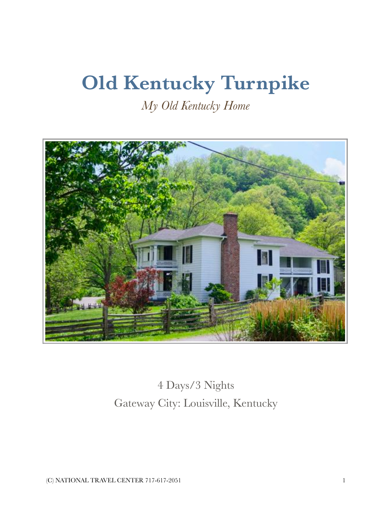# **Old Kentucky Turnpike**

*My Old Kentucky Home* 



4 Days/3 Nights Gateway City: Louisville, Kentucky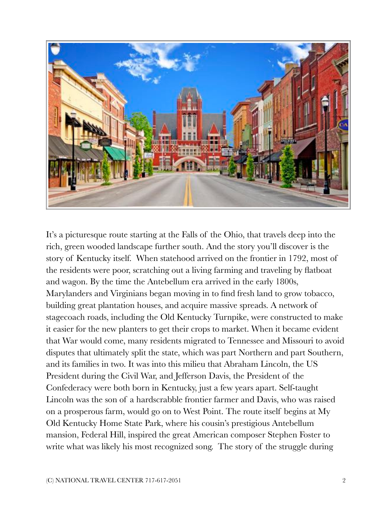

It's a picturesque route starting at the Falls of the Ohio, that travels deep into the rich, green wooded landscape further south. And the story you'll discover is the story of Kentucky itself. When statehood arrived on the frontier in 1792, most of the residents were poor, scratching out a living farming and traveling by flatboat and wagon. By the time the Antebellum era arrived in the early 1800s, Marylanders and Virginians began moving in to find fresh land to grow tobacco, building great plantation houses, and acquire massive spreads. A network of stagecoach roads, including the Old Kentucky Turnpike, were constructed to make it easier for the new planters to get their crops to market. When it became evident that War would come, many residents migrated to Tennessee and Missouri to avoid disputes that ultimately split the state, which was part Northern and part Southern, and its families in two. It was into this milieu that Abraham Lincoln, the US President during the Civil War, and Jefferson Davis, the President of the Confederacy were both born in Kentucky, just a few years apart. Self-taught Lincoln was the son of a hardscrabble frontier farmer and Davis, who was raised on a prosperous farm, would go on to West Point. The route itself begins at My Old Kentucky Home State Park, where his cousin's prestigious Antebellum mansion, Federal Hill, inspired the great American composer Stephen Foster to write what was likely his most recognized song. The story of the struggle during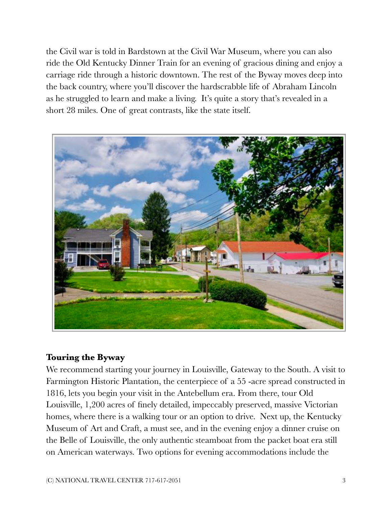the Civil war is told in Bardstown at the Civil War Museum, where you can also ride the Old Kentucky Dinner Train for an evening of gracious dining and enjoy a carriage ride through a historic downtown. The rest of the Byway moves deep into the back country, where you'll discover the hardscrabble life of Abraham Lincoln as he struggled to learn and make a living. It's quite a story that's revealed in a short 28 miles. One of great contrasts, like the state itself.



#### **Touring the Byway**

We recommend starting your journey in Louisville, Gateway to the South. A visit to Farmington Historic Plantation, the centerpiece of a 55 -acre spread constructed in 1816, lets you begin your visit in the Antebellum era. From there, tour Old Louisville, 1,200 acres of finely detailed, impeccably preserved, massive Victorian homes, where there is a walking tour or an option to drive. Next up, the Kentucky Museum of Art and Craft, a must see, and in the evening enjoy a dinner cruise on the Belle of Louisville, the only authentic steamboat from the packet boat era still on American waterways. Two options for evening accommodations include the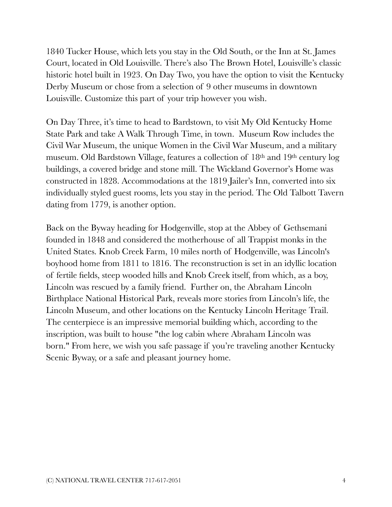1840 Tucker House, which lets you stay in the Old South, or the Inn at St. James Court, located in Old Louisville. There's also The Brown Hotel, Louisville's classic historic hotel built in 1923. On Day Two, you have the option to visit the Kentucky Derby Museum or chose from a selection of 9 other museums in downtown Louisville. Customize this part of your trip however you wish.

On Day Three, it's time to head to Bardstown, to visit My Old Kentucky Home State Park and take A Walk Through Time, in town. Museum Row includes the Civil War Museum, the unique Women in the Civil War Museum, and a military museum. Old Bardstown Village, features a collection of 18th and 19th century log buildings, a covered bridge and stone mill. The Wickland Governor's Home was constructed in 1828. Accommodations at the 1819 Jailer's Inn, converted into six individually styled guest rooms, lets you stay in the period. The Old Talbott Tavern dating from 1779, is another option.

Back on the Byway heading for Hodgenville, stop at the Abbey of Gethsemani founded in 1848 and considered the motherhouse of all Trappist monks in the United States. Knob Creek Farm, 10 miles north of Hodgenville, was Lincoln's boyhood home from 1811 to 1816. The reconstruction is set in an idyllic location of fertile fields, steep wooded hills and Knob Creek itself, from which, as a boy, Lincoln was rescued by a family friend. Further on, the Abraham Lincoln Birthplace National Historical Park, reveals more stories from Lincoln's life, the Lincoln Museum, and other locations on the Kentucky Lincoln Heritage Trail. The centerpiece is an impressive memorial building which, according to the inscription, was built to house "the log cabin where Abraham Lincoln was born." From here, we wish you safe passage if you're traveling another Kentucky Scenic Byway, or a safe and pleasant journey home.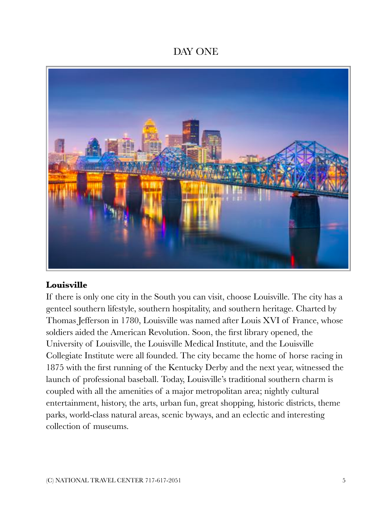# DAY ONE



#### **Louisville**

If there is only one city in the South you can visit, choose Louisville. The city has a genteel southern lifestyle, southern hospitality, and southern heritage. Charted by Thomas Jefferson in 1780, Louisville was named after Louis XVI of France, whose soldiers aided the American Revolution. Soon, the first library opened, the University of Louisville, the Louisville Medical Institute, and the Louisville Collegiate Institute were all founded. The city became the home of horse racing in 1875 with the first running of the Kentucky Derby and the next year, witnessed the launch of professional baseball. Today, Louisville's traditional southern charm is coupled with all the amenities of a major metropolitan area; nightly cultural entertainment, history, the arts, urban fun, great shopping, historic districts, theme parks, world-class natural areas, scenic byways, and an eclectic and interesting collection of museums.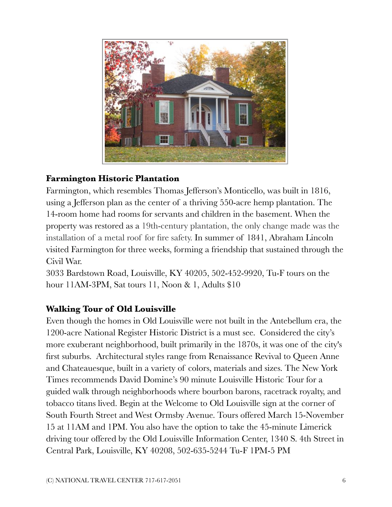

## **Farmington Historic Plantation**

Farmington, which resembles Thomas Jefferson's Monticello, was built in 1816, using a Jefferson plan as the center of a thriving 550-acre hemp plantation. The 14-room home had rooms for servants and children in the basement. When the property was restored as a 19th-century plantation, the only change made was the installation of a metal roof for fire safety. In summer of 1841, Abraham Lincoln visited Farmington for three weeks, forming a friendship that sustained through the Civil War.

3033 Bardstown Road, Louisville, KY 40205, 502-452-9920, Tu-F tours on the hour 11AM-3PM, Sat tours 11, Noon & 1, Adults \$10

## **Walking Tour of Old Louisville**

Even though the homes in Old Louisville were not built in the Antebellum era, the 1200-acre National Register Historic District is a must see. Considered the city's more exuberant neighborhood, built primarily in the 1870s, it was one of the city's first suburbs. Architectural styles range from Renaissance Revival to Queen Anne and Chateauesque, built in a variety of colors, materials and sizes. The New York Times recommends David Domine's 90 minute Louisville Historic Tour for a guided walk through neighborhoods where bourbon barons, racetrack royalty, and tobacco titans lived. Begin at the Welcome to Old Louisville sign at the corner of South Fourth Street and West Ormsby Avenue. Tours offered March 15-November 15 at 11AM and 1PM. You also have the option to take the 45-minute Limerick driving tour offered by the Old Louisville Information Center, 1340 S. 4th Street in Central Park, Louisville, KY 40208, 502-635-5244 Tu-F 1PM-5 PM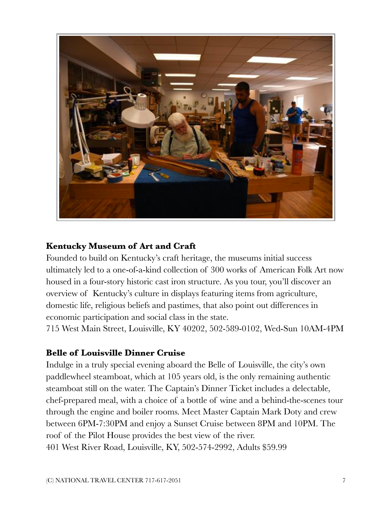

## **Kentucky Museum of Art and Craft**

Founded to build on Kentucky's craft heritage, the museums initial success ultimately led to a one-of-a-kind collection of 300 works of American Folk Art now housed in a four-story historic cast iron structure. As you tour, you'll discover an overview of Kentucky's culture in displays featuring items from agriculture, domestic life, religious beliefs and pastimes, that also point out differences in economic participation and social class in the state.

715 West Main Street, Louisville, KY 40202, 502-589-0102, Wed-Sun 10AM-4PM

#### **Belle of Louisville Dinner Cruise**

Indulge in a truly special evening aboard the Belle of Louisville, the city's own paddlewheel steamboat, which at 105 years old, is the only remaining authentic steamboat still on the water. The Captain's Dinner Ticket includes a delectable, chef-prepared meal, with a choice of a bottle of wine and a behind-the-scenes tour through the engine and boiler rooms. Meet Master Captain Mark Doty and crew between 6PM-7:30PM and enjoy a Sunset Cruise between 8PM and 10PM. The roof of the Pilot House provides the best view of the river. 401 West River Road, Louisville, KY, 502-574-2992, Adults \$59.99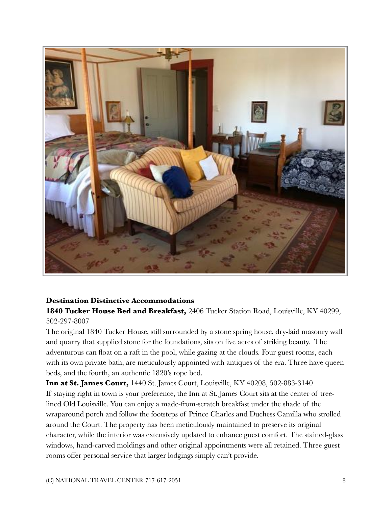

#### **Destination Distinctive Accommodations**

**1840 Tucker House Bed and Breakfast,** 2406 Tucker Station Road, Louisville, KY 40299, 502-297-8007

The original 1840 Tucker House, still surrounded by a stone spring house, dry-laid masonry wall and quarry that supplied stone for the foundations, sits on five acres of striking beauty. The adventurous can float on a raft in the pool, while gazing at the clouds. Four guest rooms, each with its own private bath, are meticulously appointed with antiques of the era. Three have queen beds, and the fourth, an authentic 1820's rope bed.

**Inn at St. James Court,** 1440 St. James Court, Louisville, KY 40208, 502-883-3140 If staying right in town is your preference, the Inn at St. James Court sits at the center of treelined Old Louisville. You can enjoy a made-from-scratch breakfast under the shade of the wraparound porch and follow the footsteps of Prince Charles and Duchess Camilla who strolled around the Court. The property has been meticulously maintained to preserve its original character, while the interior was extensively updated to enhance guest comfort. The stained-glass windows, hand-carved moldings and other original appointments were all retained. Three guest rooms offer personal service that larger lodgings simply can't provide.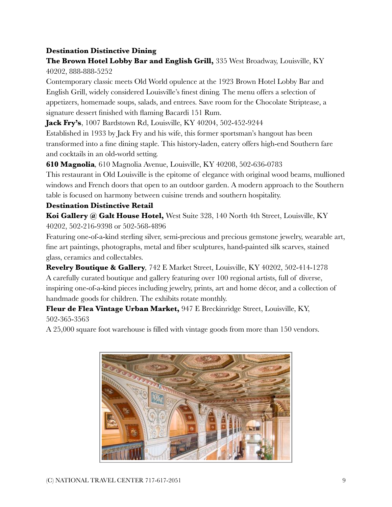#### **Destination Distinctive Dining**

**The Brown Hotel Lobby Bar and English Grill,** 335 West Broadway, Louisville, KY 40202, 888-888-5252

Contemporary classic meets Old World opulence at the 1923 Brown Hotel Lobby Bar and English Grill, widely considered Louisville's finest dining. The menu offers a selection of appetizers, homemade soups, salads, and entrees. Save room for the Chocolate Striptease, a signature dessert finished with flaming Bacardi 151 Rum.

**Jack Fry's**, 1007 Bardstown Rd, Louisville, KY 40204, 502-452-9244

Established in 1933 by Jack Fry and his wife, this former sportsman's hangout has been transformed into a fine dining staple. This history-laden, eatery offers high-end Southern fare and cocktails in an old-world setting.

**610 Magnolia***,* 610 Magnolia Avenue, Louisville, KY 40208, 502-636-0783

This restaurant in Old Louisville is the epitome of elegance with original wood beams, mullioned windows and French doors that open to an outdoor garden. A modern approach to the Southern table is focused on harmony between cuisine trends and southern hospitality.

#### **Destination Distinctive Retail**

**Koi Gallery @ Galt House Hotel,** West Suite 328, 140 North 4th Street, Louisville, KY 40202, 502-216-9398 or 502-568-4896

Featuring one-of-a-kind sterling silver, semi-precious and precious gemstone jewelry, wearable art, fine art paintings, photographs, metal and fiber sculptures, hand-painted silk scarves, stained glass, ceramics and collectables.

**Revelry Boutique & Gallery***,* 742 E Market Street, Louisville, KY 40202, 502-414-1278 A carefully curated boutique and gallery featuring over 100 regional artists, full of diverse, inspiring one-of-a-kind pieces including jewelry, prints, art and home décor, and a collection of handmade goods for children. The exhibits rotate monthly.

**Fleur de Flea Vintage Urban Market,** 947 E Breckinridge Street, Louisville, KY, 502-365-3563

A 25,000 square foot warehouse is filled with vintage goods from more than 150 vendors.

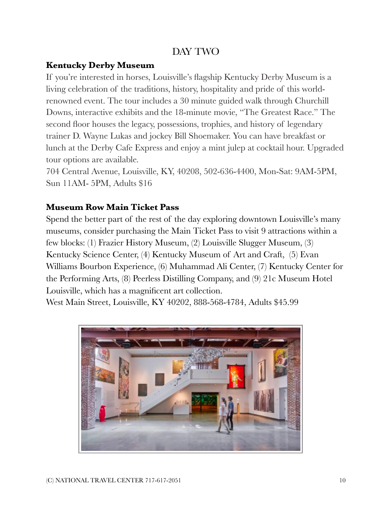# DAY TWO

#### **Kentucky Derby Museum**

If you're interested in horses, Louisville's flagship Kentucky Derby Museum is a living celebration of the traditions, history, hospitality and pride of this worldrenowned event. The tour includes a 30 minute guided walk through Churchill Downs, interactive exhibits and the 18-minute movie, "The Greatest Race." The second floor houses the legacy, possessions, trophies, and history of legendary trainer D. Wayne Lukas and jockey Bill Shoemaker. You can have breakfast or lunch at the Derby Cafe Express and enjoy a mint julep at cocktail hour. Upgraded tour options are available.

704 Central Avenue, Louisville, KY, 40208, 502-636-4400, Mon-Sat: 9AM-5PM, Sun 11AM- 5PM, Adults \$16

#### **Museum Row Main Ticket Pass**

Spend the better part of the rest of the day exploring downtown Louisville's many museums, consider purchasing the Main Ticket Pass to visit 9 attractions within a few blocks: (1) [Frazier History Museum,](http://www.fraziermuseum.org/%22%20%5Ct%20%22_blank) (2) [Louisville Slugger Museum,](http://www.sluggermuseum.com/%22%20%5Ct%20%22_blank) (3) [Kentucky Science Center,](http://kysciencecenter.org/%22%20%5Ct%20%22_blank) (4) [Kentucky Museum of Art and Craft,](http://www.kmacmuseum.org/%22%20%5Ct%20%22_blank) (5) [Evan](http://www.evanwilliams.com/visit.php%22%20%5Ct%20%22_blank)  [Williams Bourbon Experience,](http://www.evanwilliams.com/visit.php%22%20%5Ct%20%22_blank) (6) [Muhammad Ali Center,](http://www.alicenter.org/%22%20%5Ct%20%22_blank) (7) [Kentucky Center for](https://www.kentuckycenter.org/%22%20%5Ct%20%22_blank)  [the Performing Arts](https://www.kentuckycenter.org/%22%20%5Ct%20%22_blank), (8) [Peerless Distilling Co](https://kentuckypeerless.com/%22%20%5Ct%20%22_blank)mpany, and (9) [21c Museum Hotel](https://www.21cmuseumhotels.com/louisville/%22%20%5Ct%20%22_blank)  [Louisville](https://www.21cmuseumhotels.com/louisville/%22%20%5Ct%20%22_blank), which has a magnificent art collection.

West Main Street, Louisville, KY 40202, 888-568-4784, Adults \$45.99

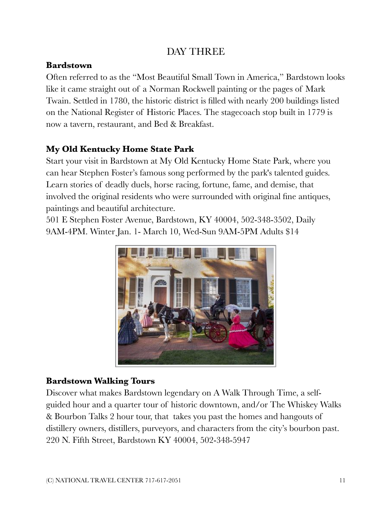# DAY THREE

#### **Bardstown**

Often referred to as the "Most Beautiful Small Town in America," Bardstown looks like it came straight out of a Norman Rockwell painting or the pages of Mark Twain. Settled in 1780, the historic district is filled with nearly 200 buildings listed on the National Register of Historic Places. The stagecoach stop built in 1779 is now a tavern, restaurant, and Bed & Breakfast.

# **My Old Kentucky Home State Park**

Start your visit in Bardstown at My Old Kentucky Home State Park, where you can hear Stephen Foster's famous song performed by the park's talented guides. Learn stories of deadly duels, horse racing, fortune, fame, and demise, that involved the original residents who were surrounded with original fine antiques, paintings and beautiful architecture.

501 E Stephen Foster Avenue, Bardstown, KY 40004, 502-348-3502, Daily 9AM-4PM. Winter Jan. 1- March 10, Wed-Sun 9AM-5PM Adults \$14



## **Bardstown Walking Tours**

Discover what makes Bardstown legendary on A Walk Through Time, a selfguided hour and a quarter tour of historic downtown, and/or The Whiskey Walks & Bourbon Talks 2 hour tour, that takes you past the homes and hangouts of distillery owners, distillers, purveyors, and characters from the city's bourbon past. 220 N. Fifth Street, Bardstown KY 40004, 502-348-5947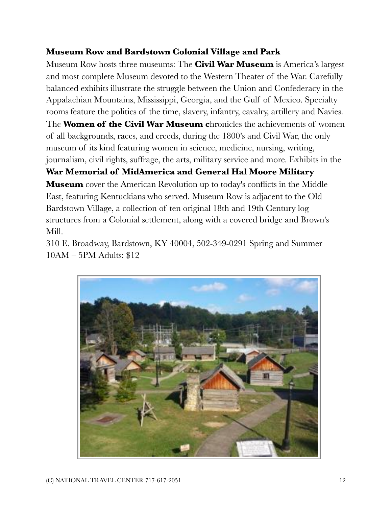#### **Museum Row and Bardstown Colonial Village and Park**

Museum Row hosts three museums: The **Civil War Museum** is America's largest and most complete Museum devoted to the Western Theater of the War. Carefully balanced exhibits illustrate the struggle between the Union and Confederacy in the Appalachian Mountains, Mississippi, Georgia, and the Gulf of Mexico. Specialty rooms feature the politics of the time, slavery, infantry, cavalry, artillery and Navies.

The **Women of the Civil War Museum c**hronicles the achievements of women of all backgrounds, races, and creeds, during the 1800's and Civil War, the only museum of its kind featuring women in science, medicine, nursing, writing, journalism, civil rights, suffrage, the arts, military service and more. Exhibits in the

## **War Memorial of MidAmerica and General Hal Moore Military**

**Museum** cover the American Revolution up to today's conflicts in the Middle East, featuring Kentuckians who served. Museum Row is adjacent to the Old Bardstown Village, a collection of ten original 18th and 19th Century log structures from a Colonial settlement, along with a covered bridge and Brown's Mill.

310 E. Broadway, Bardstown, KY 40004, 502-349-0291 Spring and Summer 10AM – 5PM Adults: \$12

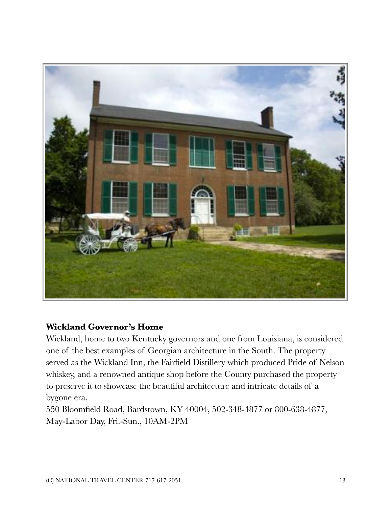

#### **Wickland Governor's Home**

Wickland, home to two Kentucky governors and one from Louisiana, is considered one of the best examples of Georgian architecture in the South. The property served as the Wickland Inn, the Fairfield Distillery which produced Pride of Nelson whiskey, and a renowned antique shop before the County purchased the property to preserve it to showcase the beautiful architecture and intricate details of a bygone era.

550 Bloomfield Road, Bardstown, KY 40004, 502-348-4877 or 800-638-4877, May-Labor Day, Fri.-Sun., 10AM-2PM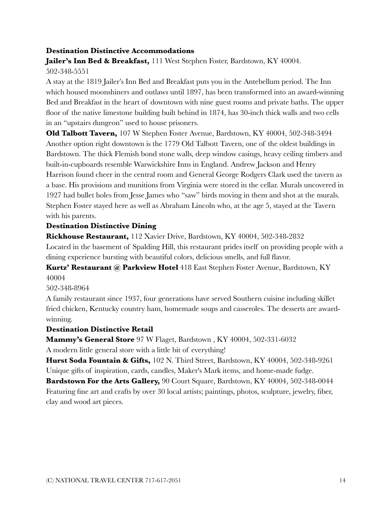#### **Destination Distinctive Accommodations**

**Jailer's Inn Bed & Breakfast,** 111 West Stephen Foster, Bardstown, KY 40004. 502-348-5551

A stay at the 1819 Jailer's Inn Bed and Breakfast puts you in the Antebellum period. The Inn which housed moonshiners and outlaws until 1897, has been transformed into an award-winning Bed and Breakfast in the heart of downtown with nine guest rooms and private baths. The upper floor of the native limestone building built behind in 1874, has 30-inch thick walls and two cells in an "upstairs dungeon" used to house prisoners.

**Old Talbott Tavern,** 107 W Stephen Foster Avenue, Bardstown, KY 40004, 502-348-3494 Another option right downtown is the 1779 Old Talbott Tavern, one of the oldest buildings in Bardstown. The thick Flemish bond stone walls, deep window casings, heavy ceiling timbers and built-in-cupboards resemble Warwickshire Inns in England. Andrew Jackson and Henry Harrison found cheer in the central room and General George Rodgers Clark used the tavern as a base. His provisions and munitions from Virginia were stored in the cellar. Murals uncovered in 1927 had bullet holes from Jesse James who "saw" birds moving in them and shot at the murals. Stephen Foster stayed here as well as Abraham Lincoln who, at the age 5, stayed at the Tavern with his parents.

#### **Destination Distinctive Dining**

**Rickhouse Restaurant,** 112 Xavier Drive, Bardstown, KY 40004, 502-348-2832

Located in the basement of Spalding Hill, this restaurant prides itself on providing people with a dining experience bursting with beautiful colors, delicious smells, and full flavor.

**Kurtz' Restaurant @ Parkview Hotel** 418 East Stephen Foster Avenue, Bardstown, KY 40004

502-348-8964

A family restaurant since 1937, four generations have served Southern cuisine including skillet fried chicken, Kentucky country ham, homemade soups and casseroles. The desserts are awardwinning.

#### **Destination Distinctive Retail**

**Mammy's General Store** 97 W Flaget, Bardstown , KY 40004, 502-331-6032

A modern little general store with a little bit of everything! **Hurst Soda Fountain & Gifts,** 102 N. Third Street, Bardstown, KY 40004, 502-348-9261

Unique gifts of inspiration, cards, candles, Maker's Mark items, and home-made fudge.

**Bardstown For the Arts Gallery,** 90 Court Square, Bardstown, KY 40004, 502-348-0044 Featuring fine art and crafts by over 30 local artists; paintings, photos, sculpture, jewelry, fiber, clay and wood art pieces.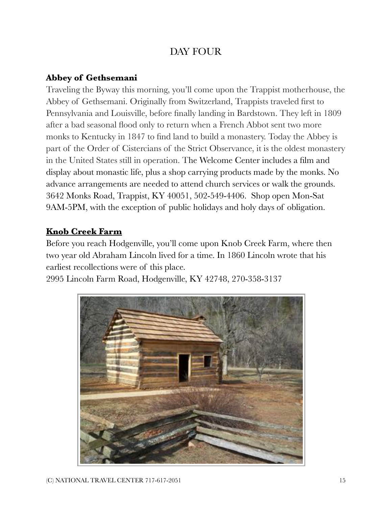# DAY FOUR

### **Abbey of Gethsemani**

Traveling the Byway this morning, you'll come upon the Trappist motherhouse, the Abbey of Gethsemani. Originally from Switzerland, Trappists traveled first to Pennsylvania and Louisville, before finally landing in Bardstown. They left in 1809 after a bad seasonal flood only to return when a French Abbot sent two more monks to Kentucky in 1847 to find land to build a monastery. Today the Abbey is part of the Order of Cistercians of the Strict Observance, it is the oldest monastery in the United States still in operation. The Welcome Center includes a film and display about monastic life, plus a shop carrying products made by the monks. No advance arrangements are needed to attend church services or walk the grounds. 3642 Monks Road, Trappist, KY 40051, 502-549-4406. Shop open Mon-Sat 9AM-5PM, with the exception of public holidays and holy days of obligation.

## **[Knob Creek Farm](http://www.abrahamlincolnonline.org/lincoln/sites/knob.htm)**

Before you reach Hodgenville, you'll come upon Knob Creek Farm, where then two year old Abraham Lincoln lived for a time. In 1860 Lincoln wrote that his earliest recollections were of this place.

2995 Lincoln Farm Road, Hodgenville, KY 42748, 270-358-3137

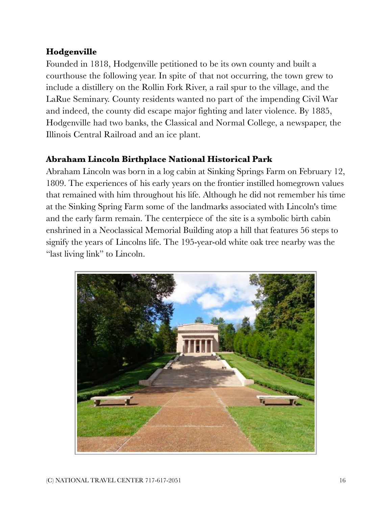#### **Hodgenville**

Founded in 1818, Hodgenville petitioned to be its own county and built a courthouse the following year. In spite of that not occurring, the town grew to include a distillery on the Rollin Fork River, a rail spur to the village, and the LaRue Seminary. County residents wanted no part of the impending Civil War and indeed, the county did escape major fighting and later violence. By 1885, Hodgenville had two banks, the Classical and Normal College, a newspaper, the Illinois Central Railroad and an ice plant.

#### **Abraham Lincoln Birthplace National Historical Park**

Abraham Lincoln was born in a log cabin at Sinking Springs Farm on February 12, 1809. The experiences of his early years on the frontier instilled homegrown values that remained with him throughout his life. Although he did not remember his time at the Sinking Spring Farm some of the landmarks associated with Lincoln's time and the early farm remain. The centerpiece of the site is a symbolic birth cabin enshrined in a Neoclassical Memorial Building atop a hill that features 56 steps to signify the years of Lincolns life. The 195-year-old white oak tree nearby was the "last living link" to Lincoln.